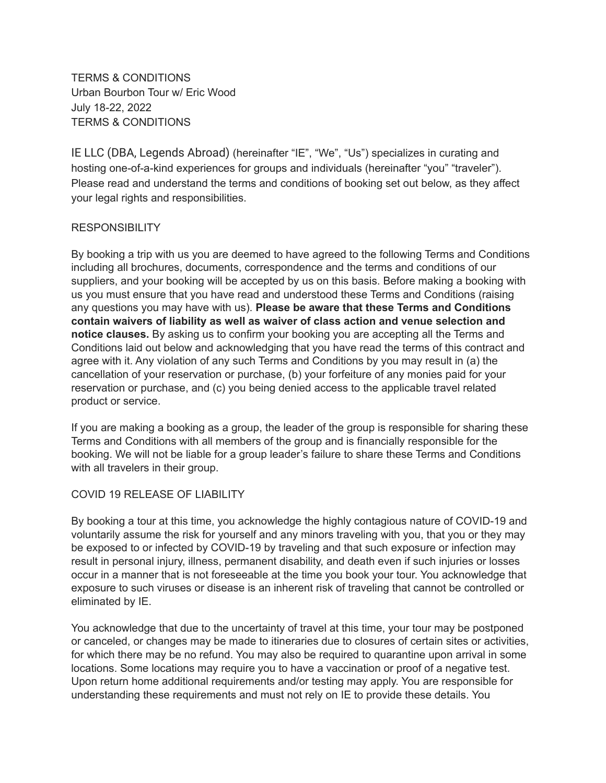TERMS & CONDITIONS Urban Bourbon Tour w/ Eric Wood July 18-22, 2022 TERMS & CONDITIONS

IE LLC (DBA, Legends Abroad) (hereinafter "IE", "We", "Us") specializes in curating and hosting one-of-a-kind experiences for groups and individuals (hereinafter "you" "traveler"). Please read and understand the terms and conditions of booking set out below, as they affect your legal rights and responsibilities.

## RESPONSIBILITY

By booking a trip with us you are deemed to have agreed to the following Terms and Conditions including all brochures, documents, correspondence and the terms and conditions of our suppliers, and your booking will be accepted by us on this basis. Before making a booking with us you must ensure that you have read and understood these Terms and Conditions (raising any questions you may have with us). **Please be aware that these Terms and Conditions contain waivers of liability as well as waiver of class action and venue selection and notice clauses.** By asking us to confirm your booking you are accepting all the Terms and Conditions laid out below and acknowledging that you have read the terms of this contract and agree with it. Any violation of any such Terms and Conditions by you may result in (a) the cancellation of your reservation or purchase, (b) your forfeiture of any monies paid for your reservation or purchase, and (c) you being denied access to the applicable travel related product or service.

If you are making a booking as a group, the leader of the group is responsible for sharing these Terms and Conditions with all members of the group and is financially responsible for the booking. We will not be liable for a group leader's failure to share these Terms and Conditions with all travelers in their group.

# COVID 19 RELEASE OF LIABILITY

By booking a tour at this time, you acknowledge the highly contagious nature of COVID-19 and voluntarily assume the risk for yourself and any minors traveling with you, that you or they may be exposed to or infected by COVID-19 by traveling and that such exposure or infection may result in personal injury, illness, permanent disability, and death even if such injuries or losses occur in a manner that is not foreseeable at the time you book your tour. You acknowledge that exposure to such viruses or disease is an inherent risk of traveling that cannot be controlled or eliminated by IE.

You acknowledge that due to the uncertainty of travel at this time, your tour may be postponed or canceled, or changes may be made to itineraries due to closures of certain sites or activities, for which there may be no refund. You may also be required to quarantine upon arrival in some locations. Some locations may require you to have a vaccination or proof of a negative test. Upon return home additional requirements and/or testing may apply. You are responsible for understanding these requirements and must not rely on IE to provide these details. You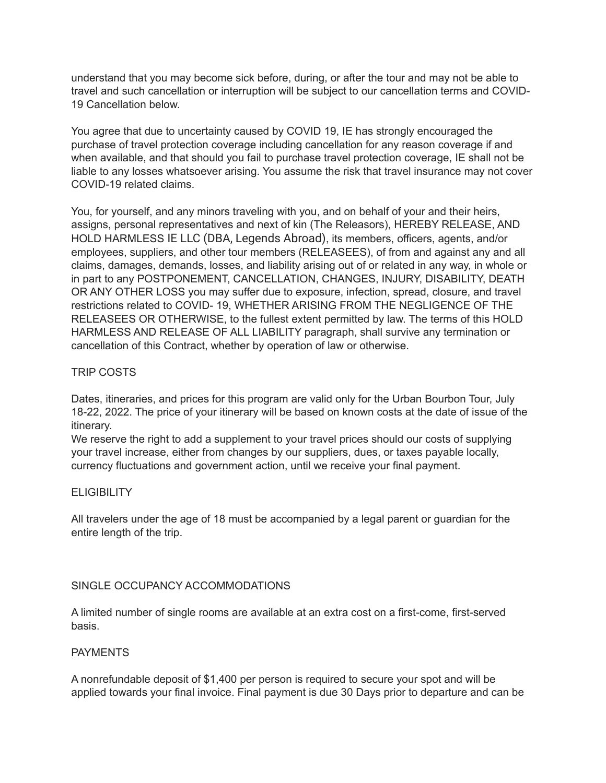understand that you may become sick before, during, or after the tour and may not be able to travel and such cancellation or interruption will be subject to our cancellation terms and COVID-19 Cancellation below.

You agree that due to uncertainty caused by COVID 19, IE has strongly encouraged the purchase of travel protection coverage including cancellation for any reason coverage if and when available, and that should you fail to purchase travel protection coverage, IE shall not be liable to any losses whatsoever arising. You assume the risk that travel insurance may not cover COVID-19 related claims.

You, for yourself, and any minors traveling with you, and on behalf of your and their heirs, assigns, personal representatives and next of kin (The Releasors), HEREBY RELEASE, AND HOLD HARMLESS IE LLC (DBA, Legends Abroad), its members, officers, agents, and/or employees, suppliers, and other tour members (RELEASEES), of from and against any and all claims, damages, demands, losses, and liability arising out of or related in any way, in whole or in part to any POSTPONEMENT, CANCELLATION, CHANGES, INJURY, DISABILITY, DEATH OR ANY OTHER LOSS you may suffer due to exposure, infection, spread, closure, and travel restrictions related to COVID- 19, WHETHER ARISING FROM THE NEGLIGENCE OF THE RELEASEES OR OTHERWISE, to the fullest extent permitted by law. The terms of this HOLD HARMLESS AND RELEASE OF ALL LIABILITY paragraph, shall survive any termination or cancellation of this Contract, whether by operation of law or otherwise.

### TRIP COSTS

Dates, itineraries, and prices for this program are valid only for the Urban Bourbon Tour, July 18-22, 2022. The price of your itinerary will be based on known costs at the date of issue of the itinerary.

We reserve the right to add a supplement to your travel prices should our costs of supplying your travel increase, either from changes by our suppliers, dues, or taxes payable locally, currency fluctuations and government action, until we receive your final payment.

### **ELIGIBILITY**

All travelers under the age of 18 must be accompanied by a legal parent or guardian for the entire length of the trip.

### SINGLE OCCUPANCY ACCOMMODATIONS

A limited number of single rooms are available at an extra cost on a first-come, first-served basis.

#### **PAYMENTS**

A nonrefundable deposit of \$1,400 per person is required to secure your spot and will be applied towards your final invoice. Final payment is due 30 Days prior to departure and can be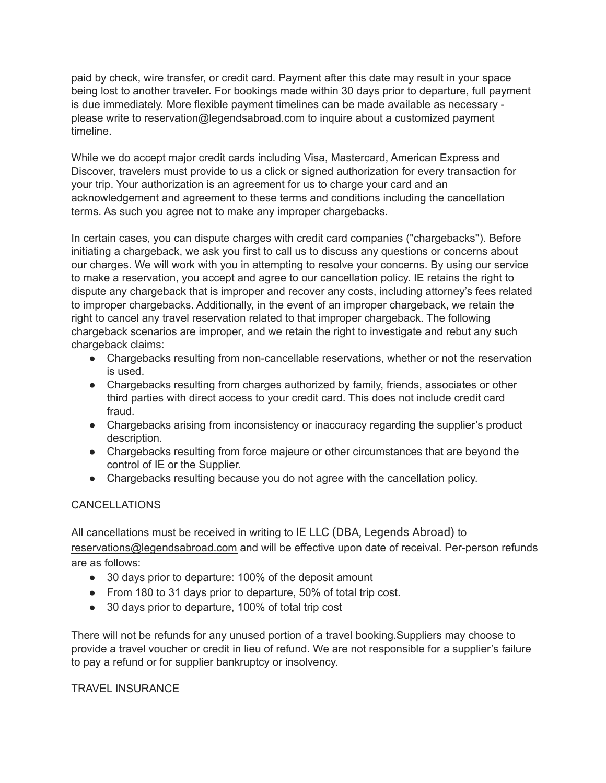paid by check, wire transfer, or credit card. Payment after this date may result in your space being lost to another traveler. For bookings made within 30 days prior to departure, full payment is due immediately. More flexible payment timelines can be made available as necessary please write to reservation@legendsabroad.com to inquire about a customized payment timeline.

While we do accept major credit cards including Visa, Mastercard, American Express and Discover, travelers must provide to us a click or signed authorization for every transaction for your trip. Your authorization is an agreement for us to charge your card and an acknowledgement and agreement to these terms and conditions including the cancellation terms. As such you agree not to make any improper chargebacks.

In certain cases, you can dispute charges with credit card companies ("chargebacks''). Before initiating a chargeback, we ask you first to call us to discuss any questions or concerns about our charges. We will work with you in attempting to resolve your concerns. By using our service to make a reservation, you accept and agree to our cancellation policy. IE retains the right to dispute any chargeback that is improper and recover any costs, including attorney's fees related to improper chargebacks. Additionally, in the event of an improper chargeback, we retain the right to cancel any travel reservation related to that improper chargeback. The following chargeback scenarios are improper, and we retain the right to investigate and rebut any such chargeback claims:

- Chargebacks resulting from non-cancellable reservations, whether or not the reservation is used.
- Chargebacks resulting from charges authorized by family, friends, associates or other third parties with direct access to your credit card. This does not include credit card fraud.
- Chargebacks arising from inconsistency or inaccuracy regarding the supplier's product description.
- Chargebacks resulting from force majeure or other circumstances that are beyond the control of IE or the Supplier.
- Chargebacks resulting because you do not agree with the cancellation policy.

# CANCELLATIONS

All cancellations must be received in writing to IE LLC (DBA, Legends Abroad) to [reservations@legendsabroad.com](mailto:reservations@legendsabroad.com) and will be effective upon date of receival. Per-person refunds are as follows:

- 30 days prior to departure: 100% of the deposit amount
- From 180 to 31 days prior to departure, 50% of total trip cost.
- 30 days prior to departure, 100% of total trip cost

There will not be refunds for any unused portion of a travel booking.Suppliers may choose to provide a travel voucher or credit in lieu of refund. We are not responsible for a supplier's failure to pay a refund or for supplier bankruptcy or insolvency.

### TRAVEL INSURANCE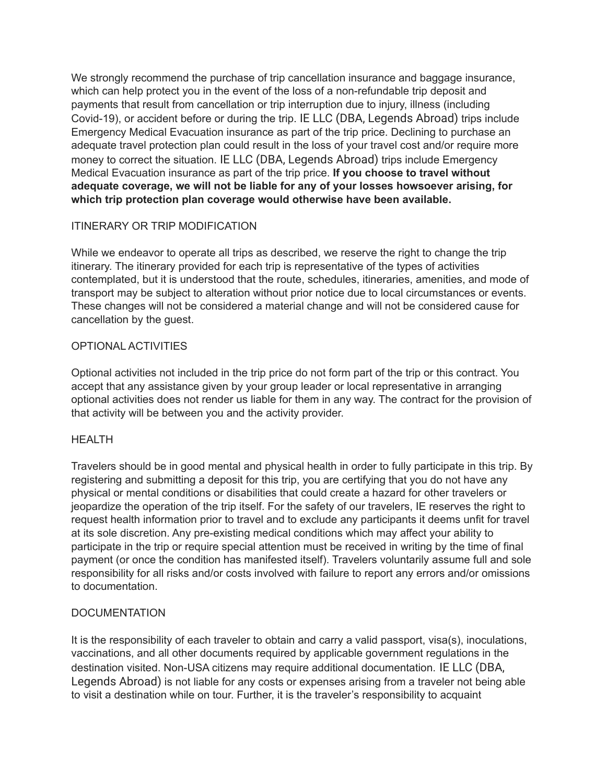We strongly recommend the purchase of trip cancellation insurance and baggage insurance, which can help protect you in the event of the loss of a non-refundable trip deposit and payments that result from cancellation or trip interruption due to injury, illness (including Covid-19), or accident before or during the trip. IE LLC (DBA, Legends Abroad) trips include Emergency Medical Evacuation insurance as part of the trip price. Declining to purchase an adequate travel protection plan could result in the loss of your travel cost and/or require more money to correct the situation. IE LLC (DBA, Legends Abroad) trips include Emergency Medical Evacuation insurance as part of the trip price. **If you choose to travel without adequate coverage, we will not be liable for any of your losses howsoever arising, for which trip protection plan coverage would otherwise have been available.**

# ITINERARY OR TRIP MODIFICATION

While we endeavor to operate all trips as described, we reserve the right to change the trip itinerary. The itinerary provided for each trip is representative of the types of activities contemplated, but it is understood that the route, schedules, itineraries, amenities, and mode of transport may be subject to alteration without prior notice due to local circumstances or events. These changes will not be considered a material change and will not be considered cause for cancellation by the guest.

# OPTIONAL ACTIVITIES

Optional activities not included in the trip price do not form part of the trip or this contract. You accept that any assistance given by your group leader or local representative in arranging optional activities does not render us liable for them in any way. The contract for the provision of that activity will be between you and the activity provider.

# HEALTH

Travelers should be in good mental and physical health in order to fully participate in this trip. By registering and submitting a deposit for this trip, you are certifying that you do not have any physical or mental conditions or disabilities that could create a hazard for other travelers or jeopardize the operation of the trip itself. For the safety of our travelers, IE reserves the right to request health information prior to travel and to exclude any participants it deems unfit for travel at its sole discretion. Any pre-existing medical conditions which may affect your ability to participate in the trip or require special attention must be received in writing by the time of final payment (or once the condition has manifested itself). Travelers voluntarily assume full and sole responsibility for all risks and/or costs involved with failure to report any errors and/or omissions to documentation.

# **DOCUMENTATION**

It is the responsibility of each traveler to obtain and carry a valid passport, visa(s), inoculations, vaccinations, and all other documents required by applicable government regulations in the destination visited. Non-USA citizens may require additional documentation. IE LLC (DBA, Legends Abroad) is not liable for any costs or expenses arising from a traveler not being able to visit a destination while on tour. Further, it is the traveler's responsibility to acquaint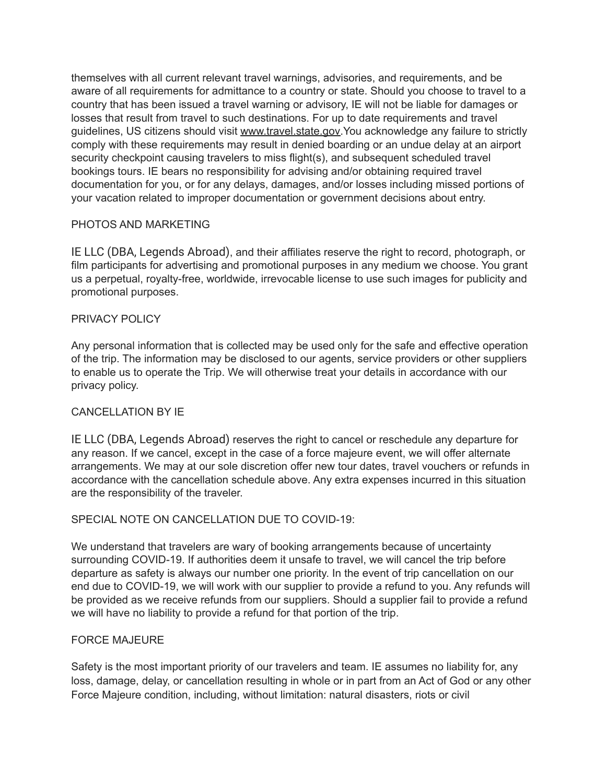themselves with all current relevant travel warnings, advisories, and requirements, and be aware of all requirements for admittance to a country or state. Should you choose to travel to a country that has been issued a travel warning or advisory, IE will not be liable for damages or losses that result from travel to such destinations. For up to date requirements and travel guidelines, US citizens should visit [www.travel.state.gov.](http://www.travel.state.gov)You acknowledge any failure to strictly comply with these requirements may result in denied boarding or an undue delay at an airport security checkpoint causing travelers to miss flight(s), and subsequent scheduled travel bookings tours. IE bears no responsibility for advising and/or obtaining required travel documentation for you, or for any delays, damages, and/or losses including missed portions of your vacation related to improper documentation or government decisions about entry.

## PHOTOS AND MARKETING

IE LLC (DBA, Legends Abroad), and their affiliates reserve the right to record, photograph, or film participants for advertising and promotional purposes in any medium we choose. You grant us a perpetual, royalty-free, worldwide, irrevocable license to use such images for publicity and promotional purposes.

### PRIVACY POLICY

Any personal information that is collected may be used only for the safe and effective operation of the trip. The information may be disclosed to our agents, service providers or other suppliers to enable us to operate the Trip. We will otherwise treat your details in accordance with our privacy policy.

### CANCELLATION BY IE

IE LLC (DBA, Legends Abroad) reserves the right to cancel or reschedule any departure for any reason. If we cancel, except in the case of a force majeure event, we will offer alternate arrangements. We may at our sole discretion offer new tour dates, travel vouchers or refunds in accordance with the cancellation schedule above. Any extra expenses incurred in this situation are the responsibility of the traveler.

### SPECIAL NOTE ON CANCELLATION DUE TO COVID-19:

We understand that travelers are wary of booking arrangements because of uncertainty surrounding COVID-19. If authorities deem it unsafe to travel, we will cancel the trip before departure as safety is always our number one priority. In the event of trip cancellation on our end due to COVID-19, we will work with our supplier to provide a refund to you. Any refunds will be provided as we receive refunds from our suppliers. Should a supplier fail to provide a refund we will have no liability to provide a refund for that portion of the trip.

### FORCE MAJEURE

Safety is the most important priority of our travelers and team. IE assumes no liability for, any loss, damage, delay, or cancellation resulting in whole or in part from an Act of God or any other Force Majeure condition, including, without limitation: natural disasters, riots or civil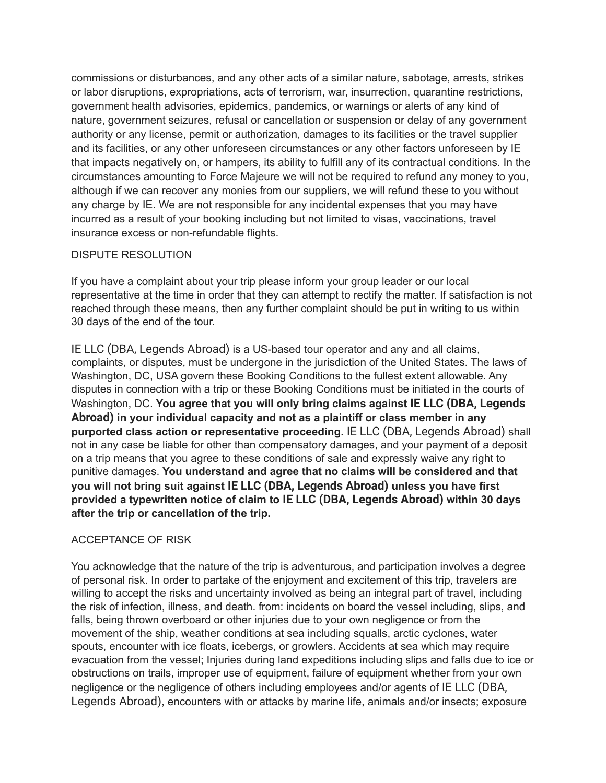commissions or disturbances, and any other acts of a similar nature, sabotage, arrests, strikes or labor disruptions, expropriations, acts of terrorism, war, insurrection, quarantine restrictions, government health advisories, epidemics, pandemics, or warnings or alerts of any kind of nature, government seizures, refusal or cancellation or suspension or delay of any government authority or any license, permit or authorization, damages to its facilities or the travel supplier and its facilities, or any other unforeseen circumstances or any other factors unforeseen by IE that impacts negatively on, or hampers, its ability to fulfill any of its contractual conditions. In the circumstances amounting to Force Majeure we will not be required to refund any money to you, although if we can recover any monies from our suppliers, we will refund these to you without any charge by IE. We are not responsible for any incidental expenses that you may have incurred as a result of your booking including but not limited to visas, vaccinations, travel insurance excess or non-refundable flights.

## DISPUTE RESOLUTION

If you have a complaint about your trip please inform your group leader or our local representative at the time in order that they can attempt to rectify the matter. If satisfaction is not reached through these means, then any further complaint should be put in writing to us within 30 days of the end of the tour.

IE LLC (DBA, Legends Abroad) is a US-based tour operator and any and all claims, complaints, or disputes, must be undergone in the jurisdiction of the United States. The laws of Washington, DC, USA govern these Booking Conditions to the fullest extent allowable. Any disputes in connection with a trip or these Booking Conditions must be initiated in the courts of Washington, DC. **You agree that you will only bring claims against IE LLC (DBA, Legends Abroad) in your individual capacity and not as a plaintiff or class member in any purported class action or representative proceeding.** IE LLC (DBA, Legends Abroad) shall not in any case be liable for other than compensatory damages, and your payment of a deposit on a trip means that you agree to these conditions of sale and expressly waive any right to punitive damages. **You understand and agree that no claims will be considered and that you will not bring suit against IE LLC (DBA, Legends Abroad) unless you have first provided a typewritten notice of claim to IE LLC (DBA, Legends Abroad) within 30 days after the trip or cancellation of the trip.**

### ACCEPTANCE OF RISK

You acknowledge that the nature of the trip is adventurous, and participation involves a degree of personal risk. In order to partake of the enjoyment and excitement of this trip, travelers are willing to accept the risks and uncertainty involved as being an integral part of travel, including the risk of infection, illness, and death. from: incidents on board the vessel including, slips, and falls, being thrown overboard or other injuries due to your own negligence or from the movement of the ship, weather conditions at sea including squalls, arctic cyclones, water spouts, encounter with ice floats, icebergs, or growlers. Accidents at sea which may require evacuation from the vessel; Injuries during land expeditions including slips and falls due to ice or obstructions on trails, improper use of equipment, failure of equipment whether from your own negligence or the negligence of others including employees and/or agents of IE LLC (DBA, Legends Abroad), encounters with or attacks by marine life, animals and/or insects; exposure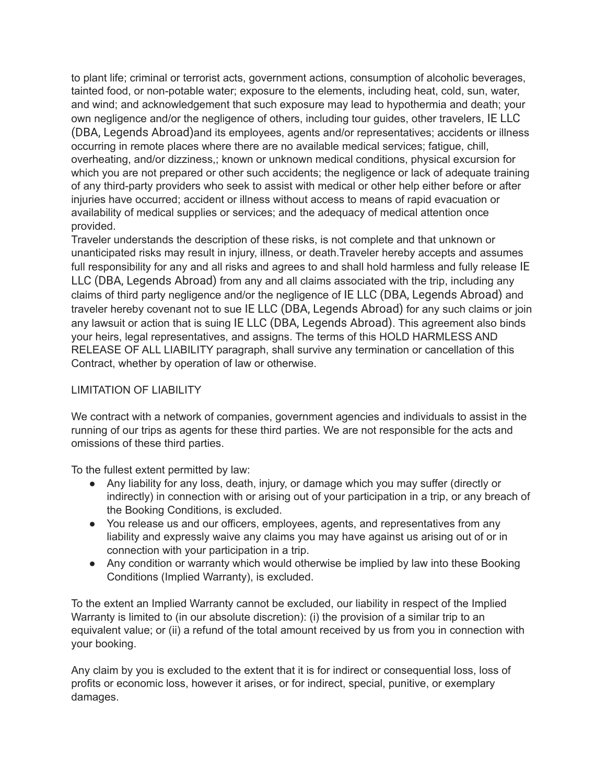to plant life; criminal or terrorist acts, government actions, consumption of alcoholic beverages, tainted food, or non-potable water; exposure to the elements, including heat, cold, sun, water, and wind; and acknowledgement that such exposure may lead to hypothermia and death; your own negligence and/or the negligence of others, including tour guides, other travelers, IE LLC (DBA, Legends Abroad)and its employees, agents and/or representatives; accidents or illness occurring in remote places where there are no available medical services; fatigue, chill, overheating, and/or dizziness,; known or unknown medical conditions, physical excursion for which you are not prepared or other such accidents; the negligence or lack of adequate training of any third-party providers who seek to assist with medical or other help either before or after injuries have occurred; accident or illness without access to means of rapid evacuation or availability of medical supplies or services; and the adequacy of medical attention once provided.

Traveler understands the description of these risks, is not complete and that unknown or unanticipated risks may result in injury, illness, or death.Traveler hereby accepts and assumes full responsibility for any and all risks and agrees to and shall hold harmless and fully release IE LLC (DBA, Legends Abroad) from any and all claims associated with the trip, including any claims of third party negligence and/or the negligence of IE LLC (DBA, Legends Abroad) and traveler hereby covenant not to sue IE LLC (DBA, Legends Abroad) for any such claims or join any lawsuit or action that is suing IE LLC (DBA, Legends Abroad). This agreement also binds your heirs, legal representatives, and assigns. The terms of this HOLD HARMLESS AND RELEASE OF ALL LIABILITY paragraph, shall survive any termination or cancellation of this Contract, whether by operation of law or otherwise.

### LIMITATION OF LIABILITY

We contract with a network of companies, government agencies and individuals to assist in the running of our trips as agents for these third parties. We are not responsible for the acts and omissions of these third parties.

To the fullest extent permitted by law:

- Any liability for any loss, death, injury, or damage which you may suffer (directly or indirectly) in connection with or arising out of your participation in a trip, or any breach of the Booking Conditions, is excluded.
- You release us and our officers, employees, agents, and representatives from any liability and expressly waive any claims you may have against us arising out of or in connection with your participation in a trip.
- Any condition or warranty which would otherwise be implied by law into these Booking Conditions (Implied Warranty), is excluded.

To the extent an Implied Warranty cannot be excluded, our liability in respect of the Implied Warranty is limited to (in our absolute discretion): (i) the provision of a similar trip to an equivalent value; or (ii) a refund of the total amount received by us from you in connection with your booking.

Any claim by you is excluded to the extent that it is for indirect or consequential loss, loss of profits or economic loss, however it arises, or for indirect, special, punitive, or exemplary damages.